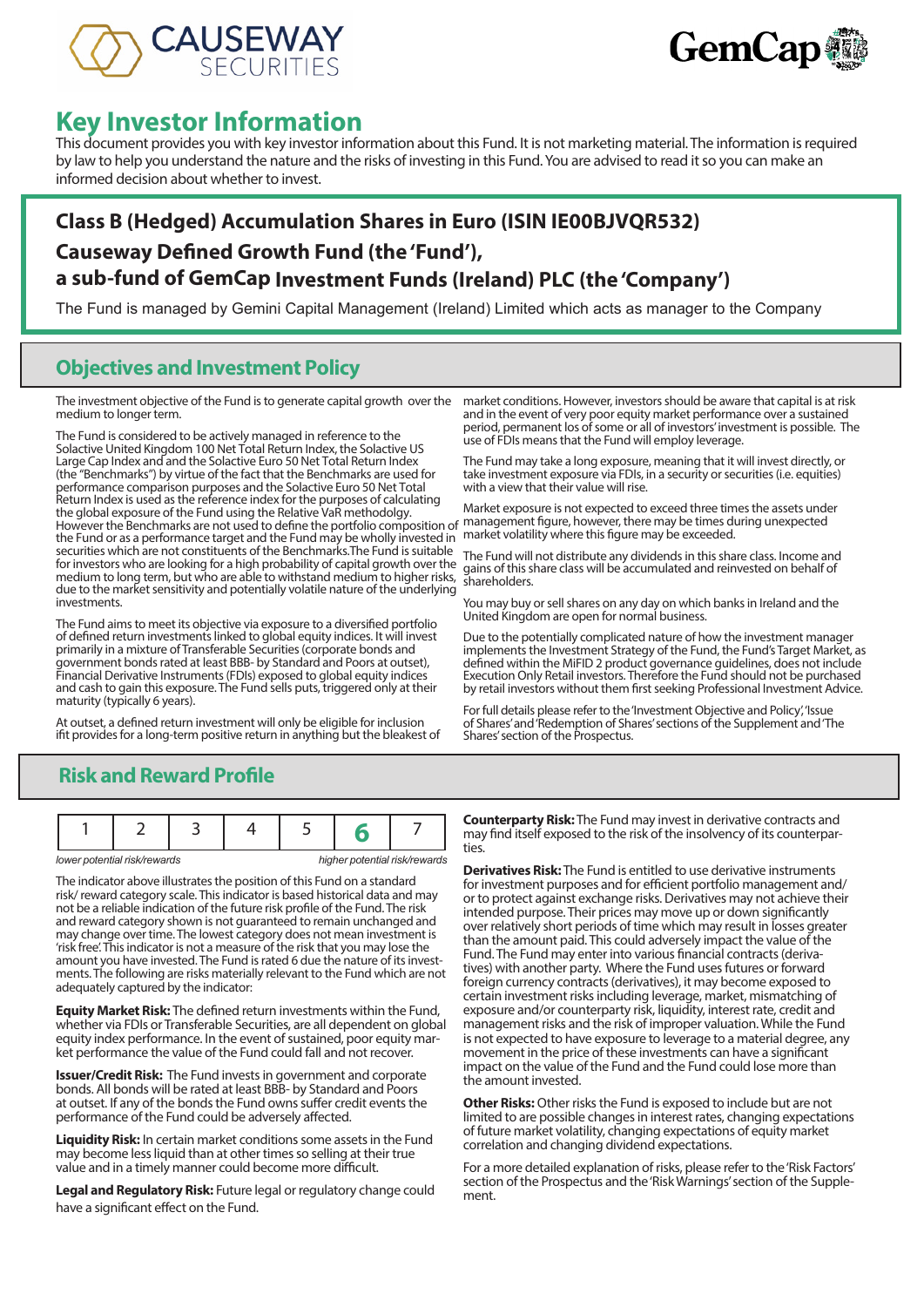



# **Key Investor Information**

This document provides you with key investor information about this Fund. It is not marketing material. The information is required by law to help you understand the nature and the risks of investing in this Fund. You are advised to read it so you can make an informed decision about whether to invest.

# **Class B (Hedged) Accumulation Shares in Euro (ISIN IE00BJVQR532) Causeway Defined Growth Fund (the 'Fund'), a sub-fund of GemCap Investment Funds (Ireland) PLC (the 'Company')**

The Fund is managed by Gemini Capital Management (Ireland) Limited which acts as manager to the Company

## **Objectives and Investment Policy**

medium to longer term.

The Fund is considered to be actively managed in reference to the Solactive United Kingdom 100 Net Total Return Index, the Solactive US Large Cap Index and and the Solactive Euro 50 Net Total Return Index (the "Benchmarks") by virtue of the fact that the Benchmarks are used for performance comparison purposes and the Solactive Euro 50 Net Total Return Index is used as the reference index for the purposes of calculating the global exposure of the Fund using the Relative VaR methodolgy. However the Benchmarks are not used to define the portfolio composition of the Fund or as a performance target and the Fund may be wholly invested in market volatility where this figure may be exceeded. securities which are not constituents of the Benchmarks.The Fund is suitable for investors who are looking for a high probability of capital growth over the medium to long term, but who are able to withstand medium to higher risks, due to the market sensitivity and potentially volatile nature of the underlying investments.

The Fund aims to meet its objective via exposure to a diversified portfolio of defined return investments linked to global equity indices. It will invest primarily in a mixture of Transferable Securities (corporate bonds and government bonds rated at least BBB- by Standard and Poors at outset), Financial Derivative Instruments (FDIs) exposed to global equity indices and cash to gain this exposure. The Fund sells puts, triggered only at their maturity (typically 6 years).

At outset, a defined return investment will only be eligible for inclusion ifit provides for a long-term positive return in anything but the bleakest of

The investment objective of the Fund is to generate capital growth over the market conditions. However, investors should be aware that capital is at risk and in the event of very poor equity market performance over a sustained period, permanent los of some or all of investors' investment is possible. The use of FDIs means that the Fund will employ leverage.

> The Fund may take a long exposure, meaning that it will invest directly, or take investment exposure via FDIs, in a security or securities (i.e. equities) with a view that their value will rise.

Market exposure is not expected to exceed three times the assets under management figure, however, there may be times during unexpected

The Fund will not distribute any dividends in this share class. Income and gains of this share class will be accumulated and reinvested on behalf of shareholders.

You may buy or sell shares on any day on which banks in Ireland and the United Kingdom are open for normal business.

Due to the potentially complicated nature of how the investment manager implements the Investment Strategy of the Fund, the Fund's Target Market, as defined within the MiFID 2 product governance guidelines, does not include Execution Only Retail investors. Therefore the Fund should not be purchased by retail investors without them first seeking Professional Investment Advice.

For full details please refer to the 'Investment Objective and Policy', 'Issue of Shares' and 'Redemption of Shares' sections of the Supplement and 'The Shares' section of the Prospectus.

# **Risk and Reward Profile**

|  | lower potential risk/rewards |  |  | higher potential risk/rewards |
|--|------------------------------|--|--|-------------------------------|

The indicator above illustrates the position of this Fund on a standard risk/ reward category scale. This indicator is based historical data and may not be a reliable indication of the future risk profile of the Fund. The risk and reward category shown is not guaranteed to remain unchanged and may change over time. The lowest category does not mean investment is 'risk free'. This indicator is not a measure of the risk that you may lose the ments. The following are risks materially relevant to the Fund which are not adequately captured by the indicator:

**Equity Market Risk:** The defined return investments within the Fund, whether via FDIs or Transferable Securities, are all dependent on global equity index performance. In the event of sustained, poor equity market performance the value of the Fund could fall and not recover.

**Issuer/Credit Risk:** The Fund invests in government and corporate bonds. All bonds will be rated at least BBB- by Standard and Poors at outset. If any of the bonds the Fund owns suffer credit events the performance of the Fund could be adversely affected.

**Liquidity Risk:** In certain market conditions some assets in the Fund may become less liquid than at other times so selling at their true value and in a timely manner could become more difficult.

**Legal and Regulatory Risk:** Future legal or regulatory change could have a significant effect on the Fund.

**Counterparty Risk:** The Fund may invest in derivative contracts and may find itself exposed to the risk of the insolvency of its counterpar- ties.

**Derivatives Risk:** The Fund is entitled to use derivative instruments for investment purposes and for efficient portfolio management and/ or to protect against exchange risks. Derivatives may not achieve their intended purpose. Their prices may move up or down significantly over relatively short periods of time which may result in losses greater than the amount paid. This could adversely impact the value of the Fund. The Fund may enter into various financial contracts (derivatives) with another party. Where the Fund uses futures or forward foreign currency contracts (derivatives), it may become exposed to certain investment risks including leverage, market, mismatching of exposure and/or counterparty risk, liquidity, interest rate, credit and management risks and the risk of improper valuation. While the Fund is not expected to have exposure to leverage to a material degree, any movement in the price of these investments can have a significant impact on the value of the Fund and the Fund could lose more than the amount invested.

**Other Risks:** Other risks the Fund is exposed to include but are not limited to are possible changes in interest rates, changing expectations of future market volatility, changing expectations of equity market correlation and changing dividend expectations.

For a more detailed explanation of risks, please refer to the 'Risk Factors' section of the Prospectus and the 'Risk Warnings' section of the Supplement.